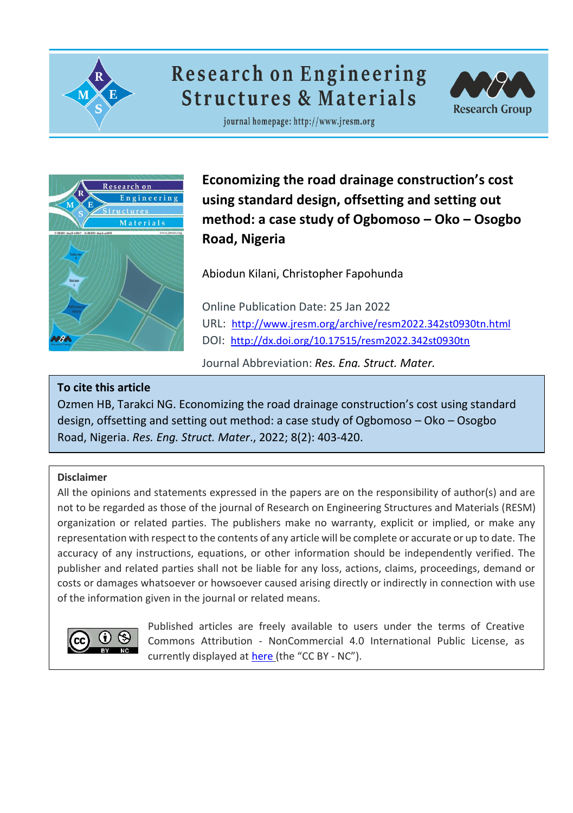

# **Research on Engineering Structures & Materials**



journal homepage: http://www.jresm.org



**Economizing the road drainage construction's cost using standard design, offsetting and setting out method: a case study of Ogbomoso – Oko – Osogbo Road, Nigeria**

Abiodun Kilani, Christopher Fapohunda

Online Publication Date: 25 Jan 2022 URL: <http://www.jresm.org/archive/resm2022.342st0930tn.html> DOI: <http://dx.doi.org/10.17515/resm2022.342st0930tn>

Journal Abbreviation: *Res. Eng. Struct. Mater.*

## **To cite this article**

Ozmen HB, Tarakci NG. Economizing the road drainage construction's cost using standard design, offsetting and setting out method: a case study of Ogbomoso – Oko – Osogbo Road, Nigeria. *Res. Eng. Struct. Mater*., 2022; 8(2): 403-420.

## **Disclaimer**

All the opinions and statements expressed in the papers are on the responsibility of author(s) and are not to be regarded as those of the journal of Research on Engineering Structures and Materials (RESM) organization or related parties. The publishers make no warranty, explicit or implied, or make any representation with respect to the contents of any article will be complete or accurate or up to date. The accuracy of any instructions, equations, or other information should be independently verified. The publisher and related parties shall not be liable for any loss, actions, claims, proceedings, demand or costs or damages whatsoever or howsoever caused arising directly or indirectly in connection with use of the information given in the journal or related means.



Published articles are freely available to users under the terms of Creative Commons Attribution ‐ NonCommercial 4.0 International Public License, as currently displayed at [here](https://creativecommons.org/licenses/by-nc/4.0/legalcode) (the "CC BY - NC").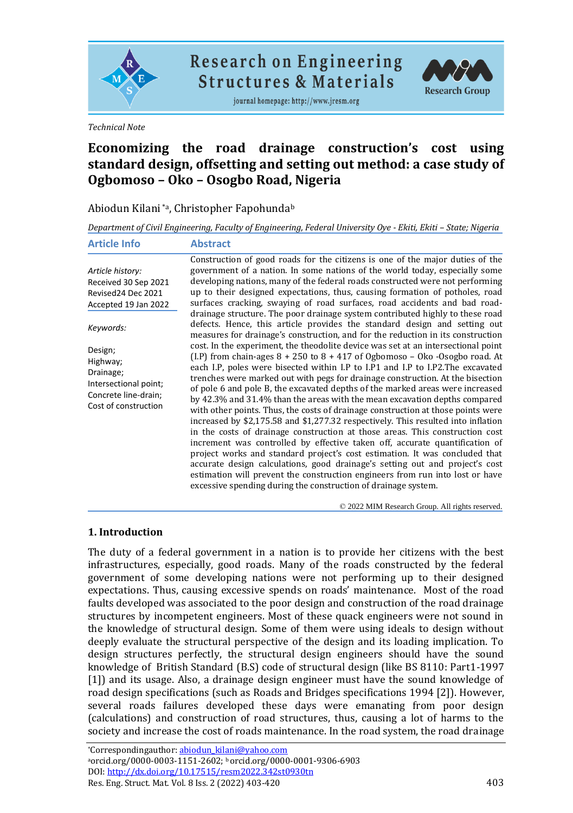

**Research on Engineering Structures & Materials** 

journal homepage: http://www.jresm.org



*Technical Note*

# **Economizing the road drainage construction's cost using standard design, offsetting and setting out method: a case study of Ogbomoso – Oko – Osogbo Road, Nigeria**

## Abiodun Kilani \*a, Christopher Fapohunda<sup>b</sup>

*Department of Civil Engineering, Faculty of Engineering, Federal University Oye - Ekiti, Ekiti – State; Nigeria*

| <b>Article Info</b>                                                                                       | <b>Abstract</b>                                                                                                                                                                                                                                                                                                                                                                                                                                                                                                                                                                                                                                                                                                                                                                                                                                                                                                                                                                                                                                                                                                                                                   |
|-----------------------------------------------------------------------------------------------------------|-------------------------------------------------------------------------------------------------------------------------------------------------------------------------------------------------------------------------------------------------------------------------------------------------------------------------------------------------------------------------------------------------------------------------------------------------------------------------------------------------------------------------------------------------------------------------------------------------------------------------------------------------------------------------------------------------------------------------------------------------------------------------------------------------------------------------------------------------------------------------------------------------------------------------------------------------------------------------------------------------------------------------------------------------------------------------------------------------------------------------------------------------------------------|
| Article history:<br>Received 30 Sep 2021<br>Revised24 Dec 2021<br>Accepted 19 Jan 2022                    | Construction of good roads for the citizens is one of the major duties of the<br>government of a nation. In some nations of the world today, especially some<br>developing nations, many of the federal roads constructed were not performing<br>up to their designed expectations, thus, causing formation of potholes, road<br>surfaces cracking, swaying of road surfaces, road accidents and bad road-<br>drainage structure. The poor drainage system contributed highly to these road                                                                                                                                                                                                                                                                                                                                                                                                                                                                                                                                                                                                                                                                       |
| Keywords:                                                                                                 | defects. Hence, this article provides the standard design and setting out<br>measures for drainage's construction, and for the reduction in its construction                                                                                                                                                                                                                                                                                                                                                                                                                                                                                                                                                                                                                                                                                                                                                                                                                                                                                                                                                                                                      |
| Design;<br>Highway;<br>Drainage;<br>Intersectional point;<br>Concrete line-drain;<br>Cost of construction | cost. In the experiment, the theodolite device was set at an intersectional point<br>(I.P) from chain-ages $8 + 250$ to $8 + 417$ of Ogbomoso – Oko -Osogbo road. At<br>each I.P, poles were bisected within I.P to I.P1 and I.P to I.P2.The excavated<br>trenches were marked out with pegs for drainage construction. At the bisection<br>of pole 6 and pole B, the excavated depths of the marked areas were increased<br>by 42.3% and 31.4% than the areas with the mean excavation depths compared<br>with other points. Thus, the costs of drainage construction at those points were<br>increased by \$2,175.58 and \$1,277.32 respectively. This resulted into inflation<br>in the costs of drainage construction at those areas. This construction cost<br>increment was controlled by effective taken off, accurate quantification of<br>project works and standard project's cost estimation. It was concluded that<br>accurate design calculations, good drainage's setting out and project's cost<br>estimation will prevent the construction engineers from run into lost or have<br>excessive spending during the construction of drainage system. |

© 2022 MIM Research Group. All rights reserved.

#### **1. Introduction**

The duty of a federal government in a nation is to provide her citizens with the best infrastructures, especially, good roads. Many of the roads constructed by the federal government of some developing nations were not performing up to their designed expectations. Thus, causing excessive spends on roads' maintenance. Most of the road faults developed was associated to the poor design and construction of the road drainage structures by incompetent engineers. Most of these quack engineers were not sound in the knowledge of structural design. Some of them were using ideals to design without deeply evaluate the structural perspective of the design and its loading implication. To design structures perfectly, the structural design engineers should have the sound knowledge of British Standard (B.S) code of structural design (like BS 8110: Part1-1997 [1]) and its usage. Also, a drainage design engineer must have the sound knowledge of road design specifications (such as Roads and Bridges specifications 1994 [2]). However, several roads failures developed these days were emanating from poor design (calculations) and construction of road structures, thus, causing a lot of harms to the society and increase the cost of roads maintenance. In the road system, the road drainage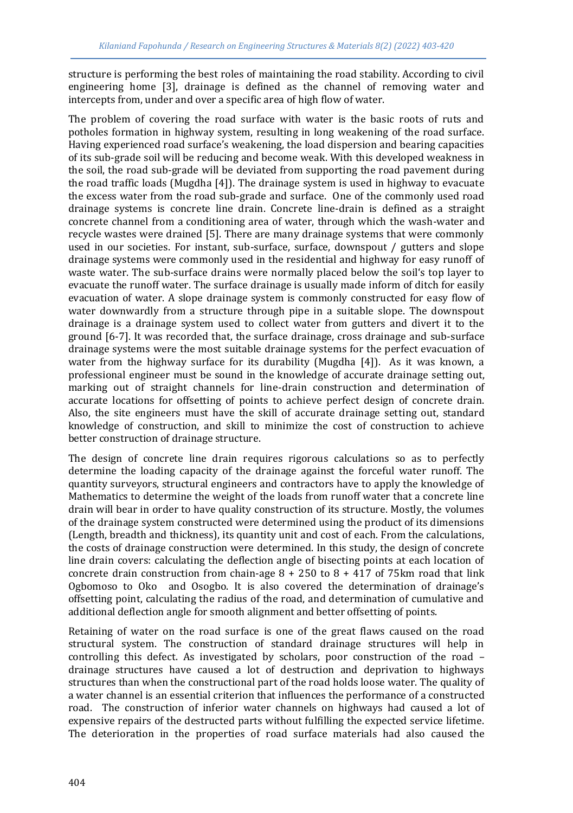structure is performing the best roles of maintaining the road stability. According to civil engineering home [3], drainage is defined as the channel of removing water and intercepts from, under and over a specific area of high flow of water.

The problem of covering the road surface with water is the basic roots of ruts and potholes formation in highway system, resulting in long weakening of the road surface. Having experienced road surface's weakening, the load dispersion and bearing capacities of its sub-grade soil will be reducing and become weak. With this developed weakness in the soil, the road sub-grade will be deviated from supporting the road pavement during the road traffic loads (Mugdha [4]). The drainage system is used in highway to evacuate the excess water from the road sub-grade and surface. One of the commonly used road drainage systems is concrete line drain. Concrete line-drain is defined as a straight concrete channel from a conditioning area of water, through which the wash-water and recycle wastes were drained [5]. There are many drainage systems that were commonly used in our societies. For instant, sub-surface, surface, downspout / gutters and slope drainage systems were commonly used in the residential and highway for easy runoff of waste water. The sub-surface drains were normally placed below the soil's top layer to evacuate the runoff water. The surface drainage is usually made inform of ditch for easily evacuation of water. A slope drainage system is commonly constructed for easy flow of water downwardly from a structure through pipe in a suitable slope. The downspout drainage is a drainage system used to collect water from gutters and divert it to the ground [6-7]. It was recorded that, the surface drainage, cross drainage and sub-surface drainage systems were the most suitable drainage systems for the perfect evacuation of water from the highway surface for its durability (Mugdha [4]). As it was known, a professional engineer must be sound in the knowledge of accurate drainage setting out, marking out of straight channels for line-drain construction and determination of accurate locations for offsetting of points to achieve perfect design of concrete drain. Also, the site engineers must have the skill of accurate drainage setting out, standard knowledge of construction, and skill to minimize the cost of construction to achieve better construction of drainage structure.

The design of concrete line drain requires rigorous calculations so as to perfectly determine the loading capacity of the drainage against the forceful water runoff. The quantity surveyors, structural engineers and contractors have to apply the knowledge of Mathematics to determine the weight of the loads from runoff water that a concrete line drain will bear in order to have quality construction of its structure. Mostly, the volumes of the drainage system constructed were determined using the product of its dimensions (Length, breadth and thickness), its quantity unit and cost of each. From the calculations, the costs of drainage construction were determined. In this study, the design of concrete line drain covers: calculating the deflection angle of bisecting points at each location of concrete drain construction from chain-age  $8 + 250$  to  $8 + 417$  of 75km road that link Ogbomoso to Oko and Osogbo. It is also covered the determination of drainage's offsetting point, calculating the radius of the road, and determination of cumulative and additional deflection angle for smooth alignment and better offsetting of points.

Retaining of water on the road surface is one of the great flaws caused on the road structural system. The construction of standard drainage structures will help in controlling this defect. As investigated by scholars, poor construction of the road – drainage structures have caused a lot of destruction and deprivation to highways structures than when the constructional part of the road holds loose water. The quality of a water channel is an essential criterion that influences the performance of a constructed road. The construction of inferior water channels on highways had caused a lot of expensive repairs of the destructed parts without fulfilling the expected service lifetime. The deterioration in the properties of road surface materials had also caused the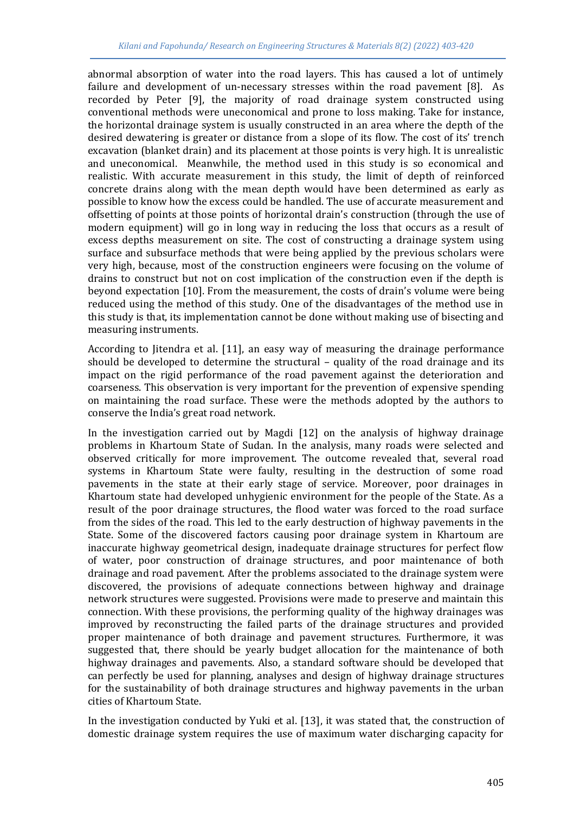abnormal absorption of water into the road layers. This has caused a lot of untimely failure and development of un-necessary stresses within the road pavement [8]. As recorded by Peter [9], the majority of road drainage system constructed using conventional methods were uneconomical and prone to loss making. Take for instance, the horizontal drainage system is usually constructed in an area where the depth of the desired dewatering is greater or distance from a slope of its flow. The cost of its' trench excavation (blanket drain) and its placement at those points is very high. It is unrealistic and uneconomical. Meanwhile, the method used in this study is so economical and realistic. With accurate measurement in this study, the limit of depth of reinforced concrete drains along with the mean depth would have been determined as early as possible to know how the excess could be handled. The use of accurate measurement and offsetting of points at those points of horizontal drain's construction (through the use of modern equipment) will go in long way in reducing the loss that occurs as a result of excess depths measurement on site. The cost of constructing a drainage system using surface and subsurface methods that were being applied by the previous scholars were very high, because, most of the construction engineers were focusing on the volume of drains to construct but not on cost implication of the construction even if the depth is beyond expectation [10]. From the measurement, the costs of drain's volume were being reduced using the method of this study. One of the disadvantages of the method use in this study is that, its implementation cannot be done without making use of bisecting and measuring instruments.

According to Jitendra et al. [11], an easy way of measuring the drainage performance should be developed to determine the structural – quality of the road drainage and its impact on the rigid performance of the road pavement against the deterioration and coarseness. This observation is very important for the prevention of expensive spending on maintaining the road surface. These were the methods adopted by the authors to conserve the India's great road network.

In the investigation carried out by Magdi [12] on the analysis of highway drainage problems in Khartoum State of Sudan. In the analysis, many roads were selected and observed critically for more improvement. The outcome revealed that, several road systems in Khartoum State were faulty, resulting in the destruction of some road pavements in the state at their early stage of service. Moreover, poor drainages in Khartoum state had developed unhygienic environment for the people of the State. As a result of the poor drainage structures, the flood water was forced to the road surface from the sides of the road. This led to the early destruction of highway pavements in the State. Some of the discovered factors causing poor drainage system in Khartoum are inaccurate highway geometrical design, inadequate drainage structures for perfect flow of water, poor construction of drainage structures, and poor maintenance of both drainage and road pavement. After the problems associated to the drainage system were discovered, the provisions of adequate connections between highway and drainage network structures were suggested. Provisions were made to preserve and maintain this connection. With these provisions, the performing quality of the highway drainages was improved by reconstructing the failed parts of the drainage structures and provided proper maintenance of both drainage and pavement structures. Furthermore, it was suggested that, there should be yearly budget allocation for the maintenance of both highway drainages and pavements. Also, a standard software should be developed that can perfectly be used for planning, analyses and design of highway drainage structures for the sustainability of both drainage structures and highway pavements in the urban cities of Khartoum State.

In the investigation conducted by Yuki et al. [13], it was stated that, the construction of domestic drainage system requires the use of maximum water discharging capacity for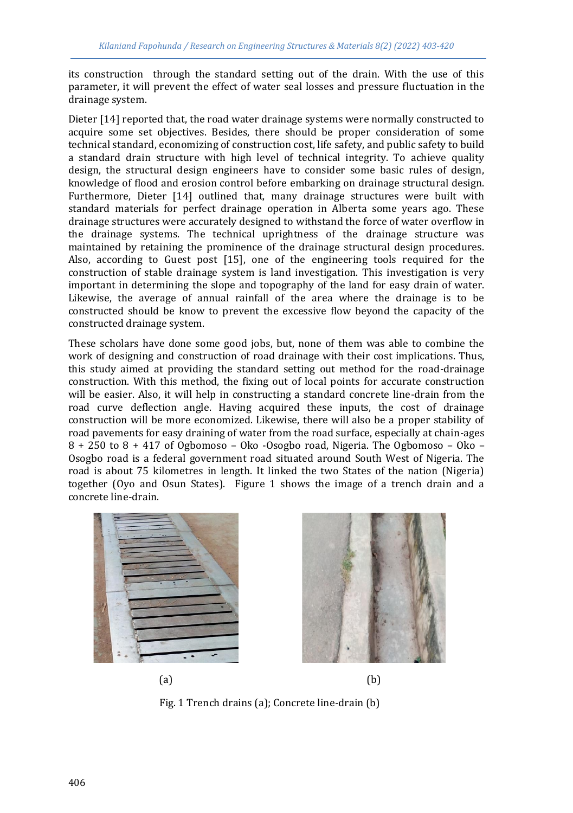its construction through the standard setting out of the drain. With the use of this parameter, it will prevent the effect of water seal losses and pressure fluctuation in the drainage system.

Dieter [14] reported that, the road water drainage systems were normally constructed to acquire some set objectives. Besides, there should be proper consideration of some technical standard, economizing of construction cost, life safety, and public safety to build a standard drain structure with high level of technical integrity. To achieve quality design, the structural design engineers have to consider some basic rules of design, knowledge of flood and erosion control before embarking on drainage structural design. Furthermore, Dieter [14] outlined that, many drainage structures were built with standard materials for perfect drainage operation in Alberta some years ago. These drainage structures were accurately designed to withstand the force of water overflow in the drainage systems. The technical uprightness of the drainage structure was maintained by retaining the prominence of the drainage structural design procedures. Also, according to Guest post [15], one of the engineering tools required for the construction of stable drainage system is land investigation. This investigation is very important in determining the slope and topography of the land for easy drain of water. Likewise, the average of annual rainfall of the area where the drainage is to be constructed should be know to prevent the excessive flow beyond the capacity of the constructed drainage system.

These scholars have done some good jobs, but, none of them was able to combine the work of designing and construction of road drainage with their cost implications. Thus, this study aimed at providing the standard setting out method for the road-drainage construction. With this method, the fixing out of local points for accurate construction will be easier. Also, it will help in constructing a standard concrete line-drain from the road curve deflection angle. Having acquired these inputs, the cost of drainage construction will be more economized. Likewise, there will also be a proper stability of road pavements for easy draining of water from the road surface, especially at chain-ages 8 + 250 to 8 + 417 of Ogbomoso – Oko -Osogbo road, Nigeria. The Ogbomoso – Oko – Osogbo road is a federal government road situated around South West of Nigeria. The road is about 75 kilometres in length. It linked the two States of the nation (Nigeria) together (Oyo and Osun States). Figure 1 shows the image of a trench drain and a concrete line-drain.



Fig. 1 Trench drains (a); Concrete line-drain (b)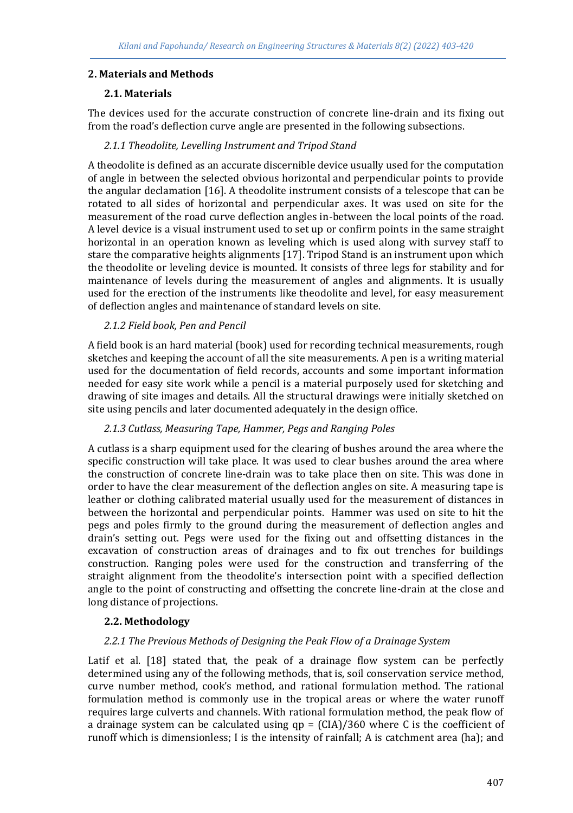## **2. Materials and Methods**

## **2.1. Materials**

The devices used for the accurate construction of concrete line-drain and its fixing out from the road's deflection curve angle are presented in the following subsections.

## *2.1.1 Theodolite, Levelling Instrument and Tripod Stand*

A theodolite is defined as an accurate discernible device usually used for the computation of angle in between the selected obvious horizontal and perpendicular points to provide the angular declamation [16]. A theodolite instrument consists of a telescope that can be rotated to all sides of horizontal and perpendicular axes. It was used on site for the measurement of the road curve deflection angles in-between the local points of the road. A level device is a visual instrument used to set up or confirm points in the same straight horizontal in an operation known as leveling which is used along with survey staff to stare the comparative heights alignments [17]. Tripod Stand is an instrument upon which the theodolite or leveling device is mounted. It consists of three legs for stability and for maintenance of levels during the measurement of angles and alignments. It is usually used for the erection of the instruments like theodolite and level, for easy measurement of deflection angles and maintenance of standard levels on site.

## *2.1.2 Field book, Pen and Pencil*

A field book is an hard material (book) used for recording technical measurements, rough sketches and keeping the account of all the site measurements. A pen is a writing material used for the documentation of field records, accounts and some important information needed for easy site work while a pencil is a material purposely used for sketching and drawing of site images and details. All the structural drawings were initially sketched on site using pencils and later documented adequately in the design office.

#### *2.1.3 Cutlass, Measuring Tape, Hammer, Pegs and Ranging Poles*

A cutlass is a sharp equipment used for the clearing of bushes around the area where the specific construction will take place. It was used to clear bushes around the area where the construction of concrete line-drain was to take place then on site. This was done in order to have the clear measurement of the deflection angles on site. A measuring tape is leather or clothing calibrated material usually used for the measurement of distances in between the horizontal and perpendicular points. Hammer was used on site to hit the pegs and poles firmly to the ground during the measurement of deflection angles and drain's setting out. Pegs were used for the fixing out and offsetting distances in the excavation of construction areas of drainages and to fix out trenches for buildings construction. Ranging poles were used for the construction and transferring of the straight alignment from the theodolite's intersection point with a specified deflection angle to the point of constructing and offsetting the concrete line-drain at the close and long distance of projections.

## **2.2. Methodology**

#### *2.2.1 The Previous Methods of Designing the Peak Flow of a Drainage System*

Latif et al. [18] stated that, the peak of a drainage flow system can be perfectly determined using any of the following methods, that is, soil conservation service method, curve number method, cook's method, and rational formulation method. The rational formulation method is commonly use in the tropical areas or where the water runoff requires large culverts and channels. With rational formulation method, the peak flow of a drainage system can be calculated using  $qp = (CIA)/360$  where C is the coefficient of runoff which is dimensionless; I is the intensity of rainfall; A is catchment area (ha); and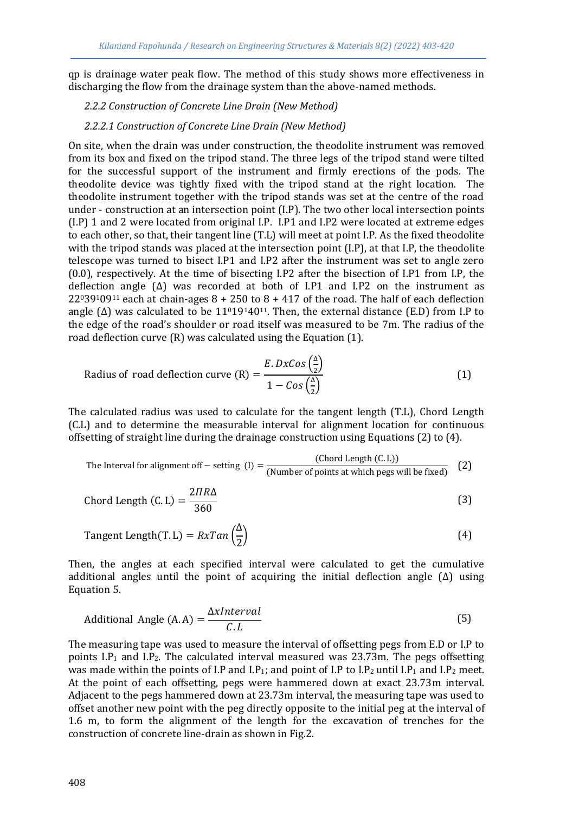qp is drainage water peak flow. The method of this study shows more effectiveness in discharging the flow from the drainage system than the above-named methods.

#### *2.2.2 Construction of Concrete Line Drain (New Method)*

#### *2.2.2.1 Construction of Concrete Line Drain (New Method)*

On site, when the drain was under construction, the theodolite instrument was removed from its box and fixed on the tripod stand. The three legs of the tripod stand were tilted for the successful support of the instrument and firmly erections of the pods. The theodolite device was tightly fixed with the tripod stand at the right location. The theodolite instrument together with the tripod stands was set at the centre of the road under - construction at an intersection point (I.P). The two other local intersection points (I.P) 1 and 2 were located from original I.P. I.P1 and I.P2 were located at extreme edges to each other, so that, their tangent line (T.L) will meet at point I.P. As the fixed theodolite with the tripod stands was placed at the intersection point (I.P), at that I.P, the theodolite telescope was turned to bisect I.P1 and I.P2 after the instrument was set to angle zero (0.0), respectively. At the time of bisecting I.P2 after the bisection of I.P1 from I.P, the deflection angle  $(\Delta)$  was recorded at both of I.P1 and I.P2 on the instrument as  $22^039^109^{11}$  each at chain-ages  $8 + 250$  to  $8 + 417$  of the road. The half of each deflection angle ( $\Delta$ ) was calculated to be 11<sup>0</sup>19<sup>14</sup>0<sup>11</sup>. Then, the external distance (E.D) from I.P to the edge of the road's shoulder or road itself was measured to be 7m. The radius of the road deflection curve (R) was calculated using the Equation (1).

Radius of road deflection curve (R) = 
$$
\frac{E.DxCos(\frac{\Delta}{2})}{1 - Cos(\frac{\Delta}{2})}
$$
 (1)

The calculated radius was used to calculate for the tangent length (T.L), Chord Length (C.L) and to determine the measurable interval for alignment location for continuous offsetting of straight line during the drainage construction using Equations (2) to (4).

The Interval for alignment off – setting (I) = 
$$
\frac{\text{(Chord Length (C.L))}}{\text{(Number of points at which pegs will be fixed)}}\tag{2}
$$

$$
Chord Length (C.L) = \frac{2\pi R\Delta}{360}
$$
 (3)

Tangent Length(T. L) = 
$$
RxTan\left(\frac{\Delta}{2}\right)
$$
 (4)

Then, the angles at each specified interval were calculated to get the cumulative additional angles until the point of acquiring the initial deflection angle (∆) using Equation 5.

Additional Angle (A.A) = 
$$
\frac{\Delta xInterval}{C.L}
$$
 (5)

The measuring tape was used to measure the interval of offsetting pegs from E.D or I.P to points  $I.P_1$  and  $I.P_2$ . The calculated interval measured was 23.73m. The pegs offsetting was made within the points of I.P and I.P<sub>1</sub>; and point of I.P to I.P<sub>2</sub> until I.P<sub>1</sub> and I.P<sub>2</sub> meet. At the point of each offsetting, pegs were hammered down at exact 23.73m interval. Adjacent to the pegs hammered down at 23.73m interval, the measuring tape was used to offset another new point with the peg directly opposite to the initial peg at the interval of 1.6 m, to form the alignment of the length for the excavation of trenches for the construction of concrete line-drain as shown in Fig.2.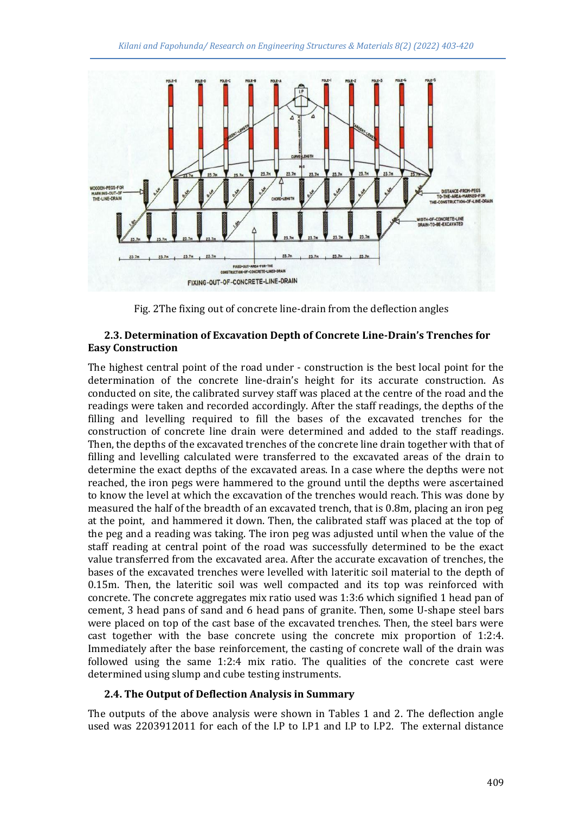

Fig. 2The fixing out of concrete line-drain from the deflection angles

#### **2.3. Determination of Excavation Depth of Concrete Line-Drain's Trenches for Easy Construction**

The highest central point of the road under - construction is the best local point for the determination of the concrete line-drain's height for its accurate construction. As conducted on site, the calibrated survey staff was placed at the centre of the road and the readings were taken and recorded accordingly. After the staff readings, the depths of the filling and levelling required to fill the bases of the excavated trenches for the construction of concrete line drain were determined and added to the staff readings. Then, the depths of the excavated trenches of the concrete line drain together with that of filling and levelling calculated were transferred to the excavated areas of the drain to determine the exact depths of the excavated areas. In a case where the depths were not reached, the iron pegs were hammered to the ground until the depths were ascertained to know the level at which the excavation of the trenches would reach. This was done by measured the half of the breadth of an excavated trench, that is 0.8m, placing an iron peg at the point, and hammered it down. Then, the calibrated staff was placed at the top of the peg and a reading was taking. The iron peg was adjusted until when the value of the staff reading at central point of the road was successfully determined to be the exact value transferred from the excavated area. After the accurate excavation of trenches, the bases of the excavated trenches were levelled with lateritic soil material to the depth of 0.15m. Then, the lateritic soil was well compacted and its top was reinforced with concrete. The concrete aggregates mix ratio used was 1:3:6 which signified 1 head pan of cement, 3 head pans of sand and 6 head pans of granite. Then, some U-shape steel bars were placed on top of the cast base of the excavated trenches. Then, the steel bars were cast together with the base concrete using the concrete mix proportion of 1:2:4. Immediately after the base reinforcement, the casting of concrete wall of the drain was followed using the same 1:2:4 mix ratio. The qualities of the concrete cast were determined using slump and cube testing instruments.

#### **2.4. The Output of Deflection Analysis in Summary**

The outputs of the above analysis were shown in Tables 1 and 2. The deflection angle used was 2203912011 for each of the I.P to I.P1 and I.P to I.P2. The external distance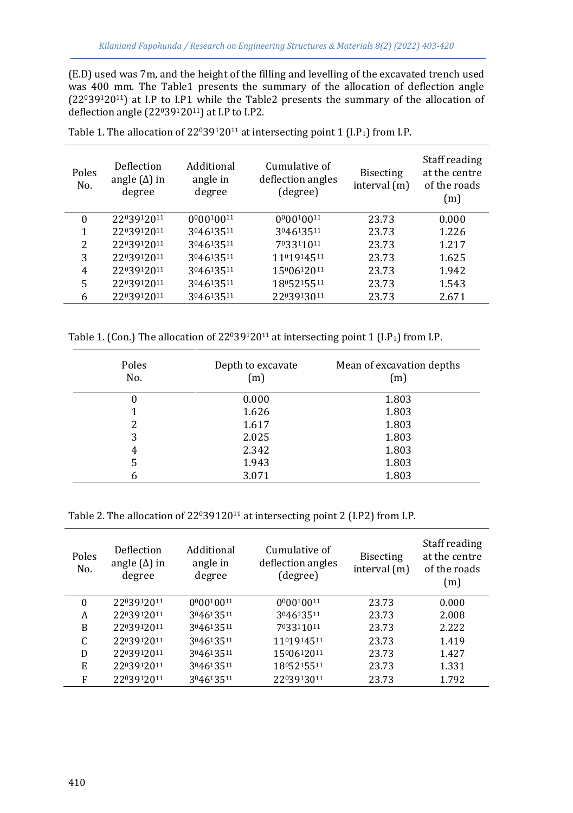(E.D) used was 7m, and the height of the filling and levelling of the excavated trench used was 400 mm. The Table1 presents the summary of the allocation of deflection angle  $(22^039^120^{11})$  at I.P to I.P1 while the Table2 presents the summary of the allocation of deflection angle (2203912011) at I.P to I.P2.

| Poles<br>No. | Deflection<br>angle $(\Delta)$ in<br>degree | Additional<br>angle in<br>degree | Cumulative of<br>deflection angles<br>(degree) | <b>Bisecting</b><br>interval $(m)$ | Staff reading<br>at the centre<br>of the roads<br>(m) |
|--------------|---------------------------------------------|----------------------------------|------------------------------------------------|------------------------------------|-------------------------------------------------------|
| 0            | 2203912011                                  | 000010011                        | 000010011                                      | 23.73                              | 0.000                                                 |
| 1            | 2203912011                                  | 304613511                        | 304613511                                      | 23.73                              | 1.226                                                 |
| 2            | 2203912011                                  | 304613511                        | 703311011                                      | 23.73                              | 1.217                                                 |
| 3            | 2203912011                                  | 304613511                        | 1101914511                                     | 23.73                              | 1.625                                                 |
| 4            | 2203912011                                  | 304613511                        | 1500612011                                     | 23.73                              | 1.942                                                 |
| 5            | 2203912011                                  | 304613511                        | 1805215511                                     | 23.73                              | 1.543                                                 |
| 6            | 2203912011                                  | 304613511                        | 2203913011                                     | 23.73                              | 2.671                                                 |

Table 1. The allocation of 2203912011 at intersecting point 1 (I.P<sub>1</sub>) from I.P.

Table 1. (Con.) The allocation of  $22^039^120^{11}$  at intersecting point 1 (I.P<sub>1</sub>) from I.P.

| Poles<br>No. | Depth to excavate<br>(m) | Mean of excavation depths<br>(m) |
|--------------|--------------------------|----------------------------------|
| 0            | 0.000                    | 1.803                            |
|              | 1.626                    | 1.803                            |
|              | 1.617                    | 1.803                            |
| 3            | 2.025                    | 1.803                            |
| 4            | 2.342                    | 1.803                            |
| 5            | 1.943                    | 1.803                            |
| 6            | 3.071                    | 1.803                            |

Table 2. The allocation of 22039120<sup>11</sup> at intersecting point 2 (I.P2) from I.P.

| 0.000<br>$\Omega$<br>2203912011<br>000010011<br>000010011<br>23.73<br>304613511<br>2.008<br>2203912011<br>304613511<br>23.73<br>A<br>B<br>2203912011<br>304613511<br>703311011<br>2.222<br>23.73<br>C<br>2203912011<br>304613511<br>1101914511<br>1.419<br>23.73<br>1500612011<br>2203912011<br>304613511<br>23.73<br>1.427<br>D<br>E<br>2203912011<br>304613511<br>1805215511<br>1.331<br>23.73<br>304613511<br>F<br>2203912011<br>2203913011<br>1.792<br>23.73 | Poles<br>No. | Deflection<br>angle $(\Delta)$ in<br>degree | Additional<br>angle in<br>degree | Cumulative of<br>deflection angles<br>(degree) | <b>Bisecting</b><br>interval $(m)$ | Staff reading<br>at the centre<br>of the roads<br>(m) |
|------------------------------------------------------------------------------------------------------------------------------------------------------------------------------------------------------------------------------------------------------------------------------------------------------------------------------------------------------------------------------------------------------------------------------------------------------------------|--------------|---------------------------------------------|----------------------------------|------------------------------------------------|------------------------------------|-------------------------------------------------------|
|                                                                                                                                                                                                                                                                                                                                                                                                                                                                  |              |                                             |                                  |                                                |                                    |                                                       |
|                                                                                                                                                                                                                                                                                                                                                                                                                                                                  |              |                                             |                                  |                                                |                                    |                                                       |
|                                                                                                                                                                                                                                                                                                                                                                                                                                                                  |              |                                             |                                  |                                                |                                    |                                                       |
|                                                                                                                                                                                                                                                                                                                                                                                                                                                                  |              |                                             |                                  |                                                |                                    |                                                       |
|                                                                                                                                                                                                                                                                                                                                                                                                                                                                  |              |                                             |                                  |                                                |                                    |                                                       |
|                                                                                                                                                                                                                                                                                                                                                                                                                                                                  |              |                                             |                                  |                                                |                                    |                                                       |
|                                                                                                                                                                                                                                                                                                                                                                                                                                                                  |              |                                             |                                  |                                                |                                    |                                                       |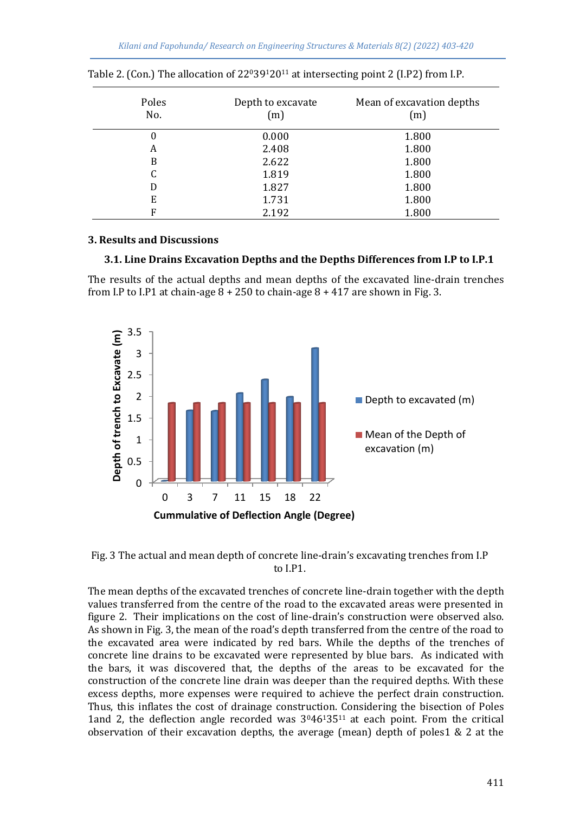| Poles<br>No. | Depth to excavate<br>(m) | Mean of excavation depths<br>(m) |
|--------------|--------------------------|----------------------------------|
| 0            | 0.000                    | 1.800                            |
| А            | 2.408                    | 1.800                            |
| B            | 2.622                    | 1.800                            |
| C            | 1.819                    | 1.800                            |
| D            | 1.827                    | 1.800                            |
| E            | 1.731                    | 1.800                            |
| Е            | 2.192                    | 1.800                            |

|  |  | Table 2. (Con.) The allocation of 2203912011 at intersecting point 2 (I.P2) from I.P. |  |  |
|--|--|---------------------------------------------------------------------------------------|--|--|
|  |  |                                                                                       |  |  |
|  |  |                                                                                       |  |  |

## **3. Results and Discussions**

#### **3.1. Line Drains Excavation Depths and the Depths Differences from I.P to I.P.1**

The results of the actual depths and mean depths of the excavated line-drain trenches from I.P to I.P1 at chain-age  $8 + 250$  to chain-age  $8 + 417$  are shown in Fig. 3.



Fig. 3 The actual and mean depth of concrete line-drain's excavating trenches from I.P to I.P1.

The mean depths of the excavated trenches of concrete line-drain together with the depth values transferred from the centre of the road to the excavated areas were presented in figure 2. Their implications on the cost of line-drain's construction were observed also. As shown in Fig. 3, the mean of the road's depth transferred from the centre of the road to the excavated area were indicated by red bars. While the depths of the trenches of concrete line drains to be excavated were represented by blue bars. As indicated with the bars, it was discovered that, the depths of the areas to be excavated for the construction of the concrete line drain was deeper than the required depths. With these excess depths, more expenses were required to achieve the perfect drain construction. Thus, this inflates the cost of drainage construction. Considering the bisection of Poles 1and 2, the deflection angle recorded was  $3<sup>0</sup>46<sup>1</sup>35<sup>11</sup>$  at each point. From the critical observation of their excavation depths, the average (mean) depth of poles1 & 2 at the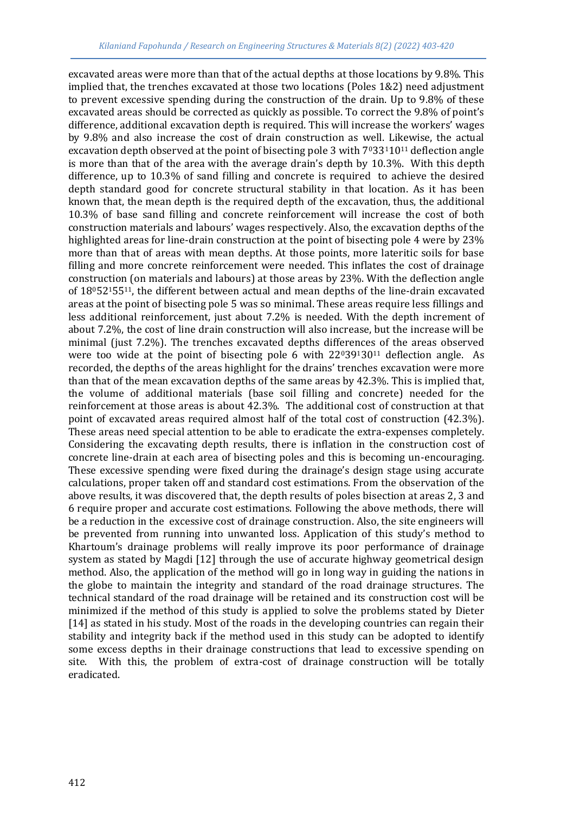excavated areas were more than that of the actual depths at those locations by 9.8%. This implied that, the trenches excavated at those two locations (Poles 1&2) need adjustment to prevent excessive spending during the construction of the drain. Up to 9.8% of these excavated areas should be corrected as quickly as possible. To correct the 9.8% of point's difference, additional excavation depth is required. This will increase the workers' wages by 9.8% and also increase the cost of drain construction as well. Likewise, the actual excavation depth observed at the point of bisecting pole 3 with  $7^{0}33^{1}10^{11}$  deflection angle is more than that of the area with the average drain's depth by 10.3%. With this depth difference, up to 10.3% of sand filling and concrete is required to achieve the desired depth standard good for concrete structural stability in that location. As it has been known that, the mean depth is the required depth of the excavation, thus, the additional 10.3% of base sand filling and concrete reinforcement will increase the cost of both construction materials and labours' wages respectively. Also, the excavation depths of the highlighted areas for line-drain construction at the point of bisecting pole 4 were by 23% more than that of areas with mean depths. At those points, more lateritic soils for base filling and more concrete reinforcement were needed. This inflates the cost of drainage construction (on materials and labours) at those areas by 23%. With the deflection angle of 1805215511, the different between actual and mean depths of the line-drain excavated areas at the point of bisecting pole 5 was so minimal. These areas require less fillings and less additional reinforcement, just about 7.2% is needed. With the depth increment of about 7.2%, the cost of line drain construction will also increase, but the increase will be minimal (just 7.2%). The trenches excavated depths differences of the areas observed were too wide at the point of bisecting pole 6 with  $22^039^130^{11}$  deflection angle. As recorded, the depths of the areas highlight for the drains' trenches excavation were more than that of the mean excavation depths of the same areas by 42.3%. This is implied that, the volume of additional materials (base soil filling and concrete) needed for the reinforcement at those areas is about 42.3%. The additional cost of construction at that point of excavated areas required almost half of the total cost of construction (42.3%). These areas need special attention to be able to eradicate the extra-expenses completely. Considering the excavating depth results, there is inflation in the construction cost of concrete line-drain at each area of bisecting poles and this is becoming un-encouraging. These excessive spending were fixed during the drainage's design stage using accurate calculations, proper taken off and standard cost estimations. From the observation of the above results, it was discovered that, the depth results of poles bisection at areas 2, 3 and 6 require proper and accurate cost estimations. Following the above methods, there will be a reduction in the excessive cost of drainage construction. Also, the site engineers will be prevented from running into unwanted loss. Application of this study's method to Khartoum's drainage problems will really improve its poor performance of drainage system as stated by Magdi [12] through the use of accurate highway geometrical design method. Also, the application of the method will go in long way in guiding the nations in the globe to maintain the integrity and standard of the road drainage structures. The technical standard of the road drainage will be retained and its construction cost will be minimized if the method of this study is applied to solve the problems stated by Dieter [14] as stated in his study. Most of the roads in the developing countries can regain their stability and integrity back if the method used in this study can be adopted to identify some excess depths in their drainage constructions that lead to excessive spending on site. With this, the problem of extra-cost of drainage construction will be totally eradicated.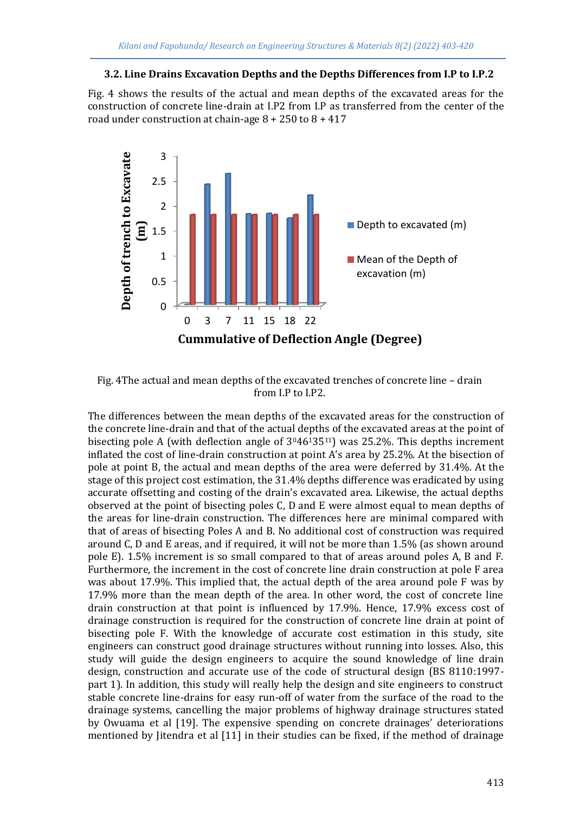#### **3.2. Line Drains Excavation Depths and the Depths Differences from I.P to I.P.2**

Fig. 4 shows the results of the actual and mean depths of the excavated areas for the construction of concrete line-drain at I.P2 from I.P as transferred from the center of the road under construction at chain-age 8 + 250 to 8 + 417



Fig. 4The actual and mean depths of the excavated trenches of concrete line – drain from I.P to I.P2.

The differences between the mean depths of the excavated areas for the construction of the concrete line-drain and that of the actual depths of the excavated areas at the point of bisecting pole A (with deflection angle of 304613511) was 25.2%. This depths increment inflated the cost of line-drain construction at point A's area by 25.2%. At the bisection of pole at point B, the actual and mean depths of the area were deferred by 31.4%. At the stage of this project cost estimation, the 31.4% depths difference was eradicated by using accurate offsetting and costing of the drain's excavated area. Likewise, the actual depths observed at the point of bisecting poles C, D and E were almost equal to mean depths of the areas for line-drain construction. The differences here are minimal compared with that of areas of bisecting Poles A and B. No additional cost of construction was required around C, D and E areas, and if required, it will not be more than 1.5% (as shown around pole E). 1.5% increment is so small compared to that of areas around poles A, B and F. Furthermore, the increment in the cost of concrete line drain construction at pole F area was about 17.9%. This implied that, the actual depth of the area around pole F was by 17.9% more than the mean depth of the area. In other word, the cost of concrete line drain construction at that point is influenced by 17.9%. Hence, 17.9% excess cost of drainage construction is required for the construction of concrete line drain at point of bisecting pole F. With the knowledge of accurate cost estimation in this study, site engineers can construct good drainage structures without running into losses. Also, this study will guide the design engineers to acquire the sound knowledge of line drain design, construction and accurate use of the code of structural design (BS 8110:1997 part 1). In addition, this study will really help the design and site engineers to construct stable concrete line-drains for easy run-off of water from the surface of the road to the drainage systems, cancelling the major problems of highway drainage structures stated by Owuama et al [19]. The expensive spending on concrete drainages' deteriorations mentioned by Jitendra et al [11] in their studies can be fixed, if the method of drainage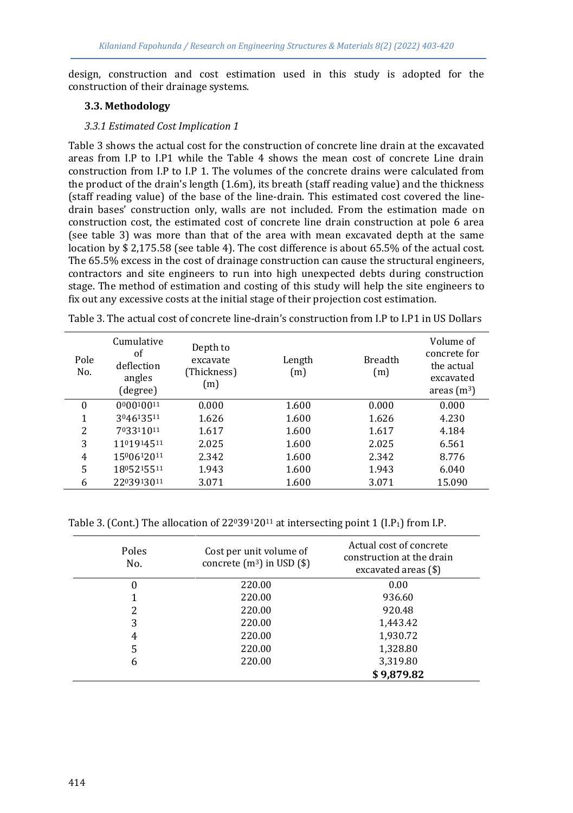design, construction and cost estimation used in this study is adopted for the construction of their drainage systems.

## **3.3. Methodology**

## *3.3.1 Estimated Cost Implication 1*

Table 3 shows the actual cost for the construction of concrete line drain at the excavated areas from I.P to I.P1 while the Table 4 shows the mean cost of concrete Line drain construction from I.P to I.P 1. The volumes of the concrete drains were calculated from the product of the drain's length (1.6m), its breath (staff reading value) and the thickness (staff reading value) of the base of the line-drain. This estimated cost covered the linedrain bases' construction only, walls are not included. From the estimation made on construction cost, the estimated cost of concrete line drain construction at pole 6 area (see table 3) was more than that of the area with mean excavated depth at the same location by \$ 2,175.58 (see table 4). The cost difference is about 65.5% of the actual cost. The 65.5% excess in the cost of drainage construction can cause the structural engineers, contractors and site engineers to run into high unexpected debts during construction stage. The method of estimation and costing of this study will help the site engineers to fix out any excessive costs at the initial stage of their projection cost estimation.

| Pole<br>No. | Cumulative<br>οf<br>deflection<br>angles<br>(degree) | Depth to<br>excavate<br>(Thickness)<br>(m) | Length<br>(m) | <b>Breadth</b><br>(m) | Volume of<br>concrete for<br>the actual<br>excavated<br>areas $(m^3)$ |
|-------------|------------------------------------------------------|--------------------------------------------|---------------|-----------------------|-----------------------------------------------------------------------|
| $\theta$    | 000010011                                            | 0.000                                      | 1.600         | 0.000                 | 0.000                                                                 |
| 1           | 304613511                                            | 1.626                                      | 1.600         | 1.626                 | 4.230                                                                 |
| 2           | 703311011                                            | 1.617                                      | 1.600         | 1.617                 | 4.184                                                                 |
| 3           | 1101914511                                           | 2.025                                      | 1.600         | 2.025                 | 6.561                                                                 |
| 4           | 1500612011                                           | 2.342                                      | 1.600         | 2.342                 | 8.776                                                                 |
| 5           | 1805215511                                           | 1.943                                      | 1.600         | 1.943                 | 6.040                                                                 |
| 6           | 2203913011                                           | 3.071                                      | 1.600         | 3.071                 | 15.090                                                                |

Table 3. The actual cost of concrete line-drain's construction from I.P to I.P1 in US Dollars

Table 3. (Cont.) The allocation of  $22^039^120^{11}$  at intersecting point 1 (I.P<sub>1</sub>) from I.P.

| Poles<br>No. | Cost per unit volume of<br>concrete $(m^3)$ in USD $(\$)$ | Actual cost of concrete<br>construction at the drain<br>excavated areas $(\$)$ |
|--------------|-----------------------------------------------------------|--------------------------------------------------------------------------------|
|              | 220.00                                                    | 0.00                                                                           |
|              | 220.00                                                    | 936.60                                                                         |
| 2            | 220.00                                                    | 920.48                                                                         |
| 3            | 220.00                                                    | 1,443.42                                                                       |
| 4            | 220.00                                                    | 1,930.72                                                                       |
| 5            | 220.00                                                    | 1,328.80                                                                       |
| 6            | 220.00                                                    | 3,319.80                                                                       |
|              |                                                           | \$9.879.82                                                                     |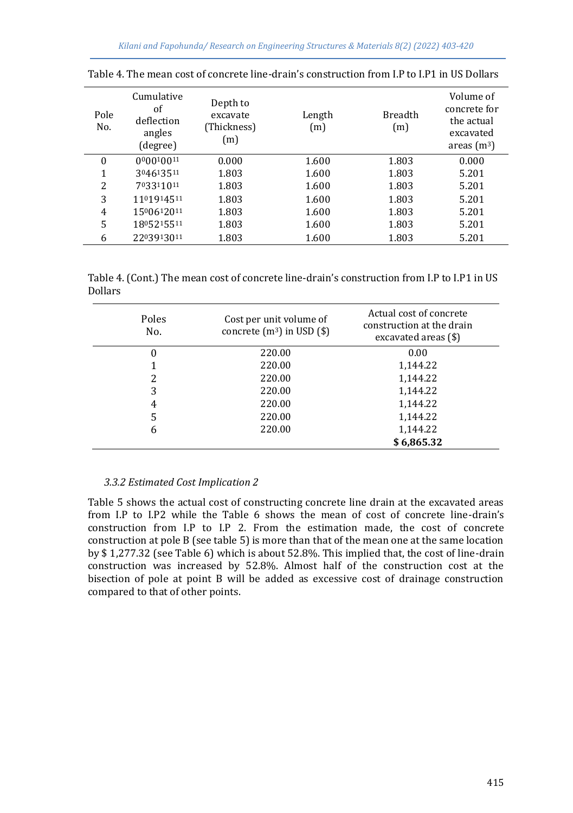| Pole<br>No. | Cumulative<br>οf<br>deflection<br>angles<br>(degree) | Depth to<br>excavate<br>(Thickness)<br>(m) | Length<br>(m) | <b>Breadth</b><br>(m) | Volume of<br>concrete for<br>the actual<br>excavated<br>areas $(m^3)$ |
|-------------|------------------------------------------------------|--------------------------------------------|---------------|-----------------------|-----------------------------------------------------------------------|
| 0           | 000010011                                            | 0.000                                      | 1.600         | 1.803                 | 0.000                                                                 |
| 1           | 304613511                                            | 1.803                                      | 1.600         | 1.803                 | 5.201                                                                 |
| 2           | 703311011                                            | 1.803                                      | 1.600         | 1.803                 | 5.201                                                                 |
| 3           | 1101914511                                           | 1.803                                      | 1.600         | 1.803                 | 5.201                                                                 |
| 4           | 1500612011                                           | 1.803                                      | 1.600         | 1.803                 | 5.201                                                                 |
| 5           | 1805215511                                           | 1.803                                      | 1.600         | 1.803                 | 5.201                                                                 |
| 6           | 2203913011                                           | 1.803                                      | 1.600         | 1.803                 | 5.201                                                                 |

Table 4. The mean cost of concrete line-drain's construction from I.P to I.P1 in US Dollars

Table 4. (Cont.) The mean cost of concrete line-drain's construction from I.P to I.P1 in US Dollars

| Poles<br>No. | Cost per unit volume of<br>concrete $(m^3)$ in USD $(\$)$ | Actual cost of concrete<br>construction at the drain<br>excavated areas (\$) |
|--------------|-----------------------------------------------------------|------------------------------------------------------------------------------|
| 0            | 220.00                                                    | 0.00                                                                         |
|              | 220.00                                                    | 1,144.22                                                                     |
| 2            | 220.00                                                    | 1,144.22                                                                     |
| 3            | 220.00                                                    | 1,144.22                                                                     |
| 4            | 220.00                                                    | 1,144.22                                                                     |
| 5            | 220.00                                                    | 1,144.22                                                                     |
| 6            | 220.00                                                    | 1,144.22                                                                     |
|              |                                                           | \$6,865.32                                                                   |

#### *3.3.2 Estimated Cost Implication 2*

Table 5 shows the actual cost of constructing concrete line drain at the excavated areas from I.P to I.P2 while the Table 6 shows the mean of cost of concrete line-drain's construction from I.P to I.P 2. From the estimation made, the cost of concrete construction at pole B (see table 5) is more than that of the mean one at the same location by \$ 1,277.32 (see Table 6) which is about 52.8%. This implied that, the cost of line-drain construction was increased by 52.8%. Almost half of the construction cost at the bisection of pole at point B will be added as excessive cost of drainage construction compared to that of other points.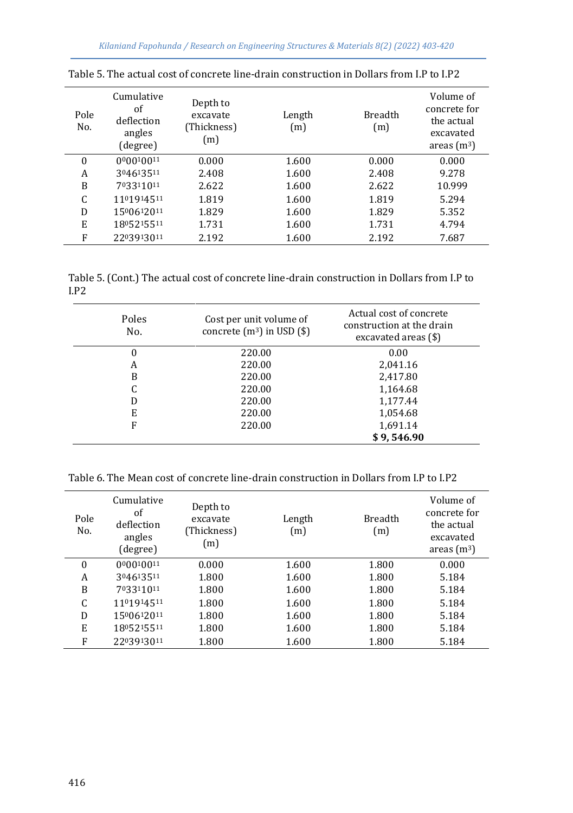| Pole<br>No. | Cumulative<br>οf<br>deflection<br>angles<br>(degree) | Depth to<br>excavate<br>(Thickness)<br>(m) | Length<br>(m) | <b>Breadth</b><br>(m) | Volume of<br>concrete for<br>the actual<br>excavated<br>areas $(m^3)$ |
|-------------|------------------------------------------------------|--------------------------------------------|---------------|-----------------------|-----------------------------------------------------------------------|
| 0           | 000010011                                            | 0.000                                      | 1.600         | 0.000                 | 0.000                                                                 |
| A           | 304613511                                            | 2.408                                      | 1.600         | 2.408                 | 9.278                                                                 |
| B           | 703311011                                            | 2.622                                      | 1.600         | 2.622                 | 10.999                                                                |
| C           | 1101914511                                           | 1.819                                      | 1.600         | 1.819                 | 5.294                                                                 |
| D           | 1500612011                                           | 1.829                                      | 1.600         | 1.829                 | 5.352                                                                 |
| E           | 1805215511                                           | 1.731                                      | 1.600         | 1.731                 | 4.794                                                                 |
| F           | 2203913011                                           | 2.192                                      | 1.600         | 2.192                 | 7.687                                                                 |

Table 5. The actual cost of concrete line-drain construction in Dollars from I.P to I.P2

Table 5. (Cont.) The actual cost of concrete line-drain construction in Dollars from I.P to I.P2

| Poles<br>No. | Cost per unit volume of<br>concrete $(m^3)$ in USD $(\$)$ | Actual cost of concrete<br>construction at the drain<br>excavated areas (\$) |
|--------------|-----------------------------------------------------------|------------------------------------------------------------------------------|
| 0            | 220.00                                                    | 0.00                                                                         |
| A            | 220.00                                                    | 2,041.16                                                                     |
| B            | 220.00                                                    | 2,417.80                                                                     |
|              | 220.00                                                    | 1,164.68                                                                     |
| D            | 220.00                                                    | 1.177.44                                                                     |
| E            | 220.00                                                    | 1,054.68                                                                     |
| F            | 220.00                                                    | 1,691.14                                                                     |
|              |                                                           | \$9,546.90                                                                   |

Table 6. The Mean cost of concrete line-drain construction in Dollars from I.P to I.P2

| Pole<br>No.  | Cumulative<br>οf<br>deflection<br>angles<br>(degree) | Depth to<br>excavate<br>(Thickness)<br>(m) | Length<br>(m) | <b>Breadth</b><br>(m) | Volume of<br>concrete for<br>the actual<br>excavated<br>areas $(m^3)$ |
|--------------|------------------------------------------------------|--------------------------------------------|---------------|-----------------------|-----------------------------------------------------------------------|
| $\mathbf{0}$ | 000010011                                            | 0.000                                      | 1.600         | 1.800                 | 0.000                                                                 |
| A            | 304613511                                            | 1.800                                      | 1.600         | 1.800                 | 5.184                                                                 |
| B            | 703311011                                            | 1.800                                      | 1.600         | 1.800                 | 5.184                                                                 |
| C            | 1101914511                                           | 1.800                                      | 1.600         | 1.800                 | 5.184                                                                 |
| D            | 1500612011                                           | 1.800                                      | 1.600         | 1.800                 | 5.184                                                                 |
| E            | 1805215511                                           | 1.800                                      | 1.600         | 1.800                 | 5.184                                                                 |
| F            | 2203913011                                           | 1.800                                      | 1.600         | 1.800                 | 5.184                                                                 |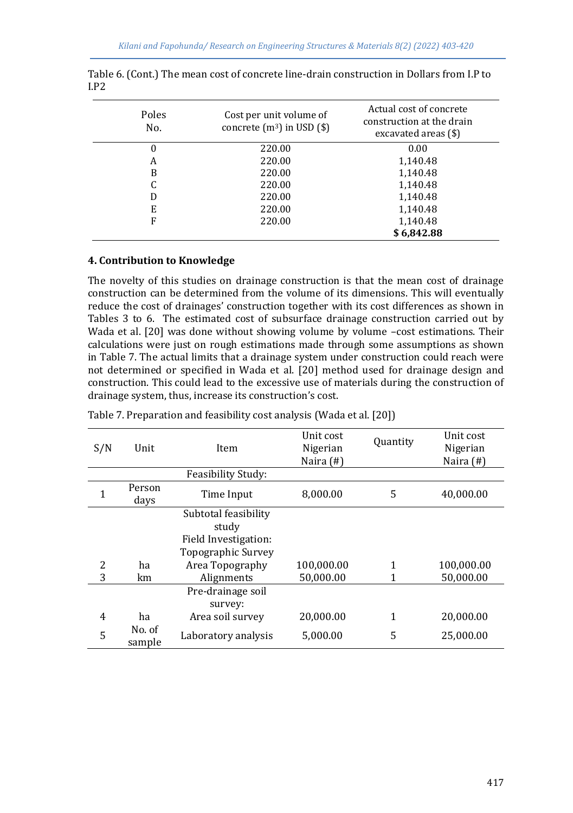| Poles<br>No. | Cost per unit volume of<br>concrete $(m^3)$ in USD $(\$)$ | Actual cost of concrete<br>construction at the drain<br>excavated areas $(\$)$ |  |  |
|--------------|-----------------------------------------------------------|--------------------------------------------------------------------------------|--|--|
| 0            | 220.00                                                    | 0.00                                                                           |  |  |
| A            | 220.00                                                    | 1,140.48                                                                       |  |  |
| B            | 220.00                                                    | 1,140.48                                                                       |  |  |
| C            | 220.00                                                    | 1,140.48                                                                       |  |  |
| D            | 220.00                                                    | 1,140.48                                                                       |  |  |
| E            | 220.00                                                    | 1,140.48                                                                       |  |  |
| F            | 220.00                                                    | 1,140.48                                                                       |  |  |
|              |                                                           | \$6,842.88                                                                     |  |  |

| Table 6. (Cont.) The mean cost of concrete line-drain construction in Dollars from I.P to |  |
|-------------------------------------------------------------------------------------------|--|
| I.P2                                                                                      |  |

## **4. Contribution to Knowledge**

The novelty of this studies on drainage construction is that the mean cost of drainage construction can be determined from the volume of its dimensions. This will eventually reduce the cost of drainages' construction together with its cost differences as shown in Tables 3 to 6. The estimated cost of subsurface drainage construction carried out by Wada et al. [20] was done without showing volume by volume -cost estimations. Their calculations were just on rough estimations made through some assumptions as shown in Table 7. The actual limits that a drainage system under construction could reach were not determined or specified in Wada et al. [20] method used for drainage design and construction. This could lead to the excessive use of materials during the construction of drainage system, thus, increase its construction's cost.

| S/N            | Unit             | Item                                                                                           | Unit cost<br>Nigerian<br>Naira $($ # $)$ | <b>Quantity</b> | Unit cost<br>Nigerian<br>Naira $($ # $)$ |
|----------------|------------------|------------------------------------------------------------------------------------------------|------------------------------------------|-----------------|------------------------------------------|
|                |                  | <b>Feasibility Study:</b>                                                                      |                                          |                 |                                          |
| $\mathbf{1}$   | Person<br>days   | Time Input                                                                                     | 8,000.00                                 | 5               | 40,000.00                                |
| $\overline{c}$ | ha               | Subtotal feasibility<br>study<br>Field Investigation:<br>Topographic Survey<br>Area Topography | 100,000.00                               |                 | 100,000.00                               |
| 3              | km               | Alignments                                                                                     | 50,000.00                                |                 | 50,000.00                                |
|                |                  | Pre-drainage soil<br>survey:                                                                   |                                          |                 |                                          |
| 4              | ha               | Area soil survey                                                                               | 20.000.00                                | 1               | 20,000.00                                |
| 5              | No. of<br>sample | Laboratory analysis                                                                            | 5.000.00                                 | 5               | 25,000.00                                |

| Table 7. Preparation and feasibility cost analysis (Wada et al. [20]) |  |  |
|-----------------------------------------------------------------------|--|--|
|                                                                       |  |  |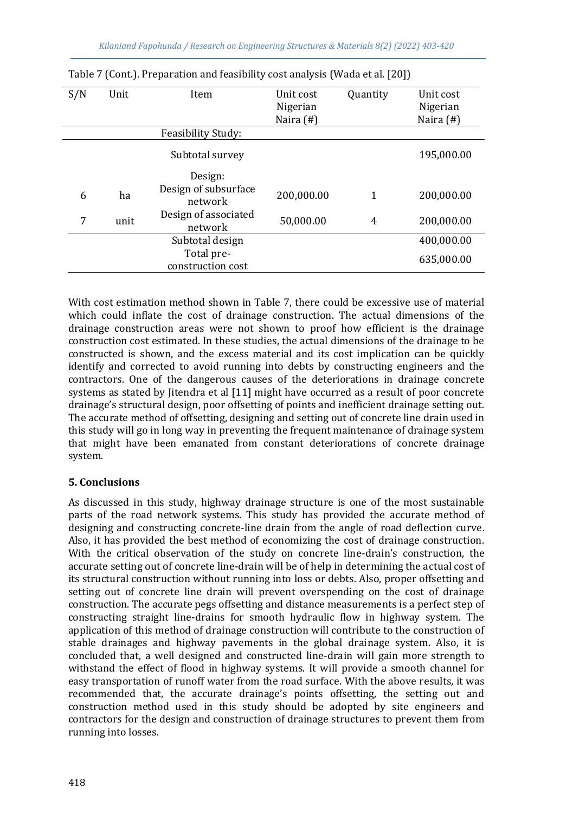| S/N | Unit | Item<br>Feasibility Study:      | Unit cost<br>Nigerian<br>Naira (#) | Quantity | Unit cost<br>Nigerian<br>Naira $($ # $)$ |
|-----|------|---------------------------------|------------------------------------|----------|------------------------------------------|
|     |      |                                 |                                    |          |                                          |
|     |      | Subtotal survey                 |                                    |          | 195,000.00                               |
|     |      | Design:                         |                                    |          |                                          |
| 6   | ha   | Design of subsurface<br>network | 200,000.00                         | 1        | 200,000.00                               |
| 7   | unit | Design of associated<br>network | 50,000.00                          | 4        | 200,000.00                               |
|     |      | Subtotal design                 |                                    |          | 400,000.00                               |
|     |      | Total pre-<br>construction cost |                                    |          | 635,000.00                               |

|  | Table 7 (Cont.). Preparation and feasibility cost analysis (Wada et al. [20]) |  |  |  |  |
|--|-------------------------------------------------------------------------------|--|--|--|--|
|  |                                                                               |  |  |  |  |
|  |                                                                               |  |  |  |  |
|  |                                                                               |  |  |  |  |

With cost estimation method shown in Table 7, there could be excessive use of material which could inflate the cost of drainage construction. The actual dimensions of the drainage construction areas were not shown to proof how efficient is the drainage construction cost estimated. In these studies, the actual dimensions of the drainage to be constructed is shown, and the excess material and its cost implication can be quickly identify and corrected to avoid running into debts by constructing engineers and the contractors. One of the dangerous causes of the deteriorations in drainage concrete systems as stated by Jitendra et al [11] might have occurred as a result of poor concrete drainage's structural design, poor offsetting of points and inefficient drainage setting out. The accurate method of offsetting, designing and setting out of concrete line drain used in this study will go in long way in preventing the frequent maintenance of drainage system that might have been emanated from constant deteriorations of concrete drainage system.

## **5. Conclusions**

As discussed in this study, highway drainage structure is one of the most sustainable parts of the road network systems. This study has provided the accurate method of designing and constructing concrete-line drain from the angle of road deflection curve. Also, it has provided the best method of economizing the cost of drainage construction. With the critical observation of the study on concrete line-drain's construction, the accurate setting out of concrete line-drain will be of help in determining the actual cost of its structural construction without running into loss or debts. Also, proper offsetting and setting out of concrete line drain will prevent overspending on the cost of drainage construction. The accurate pegs offsetting and distance measurements is a perfect step of constructing straight line-drains for smooth hydraulic flow in highway system. The application of this method of drainage construction will contribute to the construction of stable drainages and highway pavements in the global drainage system. Also, it is concluded that, a well designed and constructed line-drain will gain more strength to withstand the effect of flood in highway systems. It will provide a smooth channel for easy transportation of runoff water from the road surface. With the above results, it was recommended that, the accurate drainage's points offsetting, the setting out and construction method used in this study should be adopted by site engineers and contractors for the design and construction of drainage structures to prevent them from running into losses.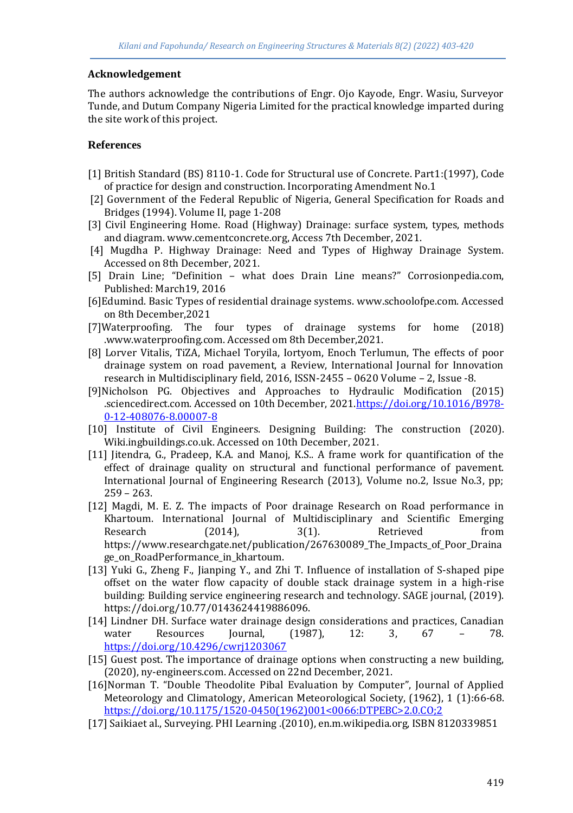## **Acknowledgement**

The authors acknowledge the contributions of Engr. Ojo Kayode, Engr. Wasiu, Surveyor Tunde, and Dutum Company Nigeria Limited for the practical knowledge imparted during the site work of this project.

## **References**

- [1] British Standard (BS) 8110-1. Code for Structural use of Concrete. Part1:(1997), Code of practice for design and construction. Incorporating Amendment No.1
- [2] Government of the Federal Republic of Nigeria, General Specification for Roads and Bridges (1994). Volume II, page 1-208
- [3] Civil Engineering Home. Road (Highway) Drainage: surface system, types, methods and diagram. www.cementconcrete.org, Access 7th December, 2021.
- [4] Mugdha P. Highway Drainage: Need and Types of Highway Drainage System. Accessed on 8th December, 2021.
- [5] Drain Line; "Definition what does Drain Line means?" Corrosionpedia.com, Published: March19, 2016
- [6]Edumind. Basic Types of residential drainage systems. www.schoolofpe.com. Accessed on 8th December,2021
- [7]Waterproofing. The four types of drainage systems for home (2018) .www.waterproofing.com. Accessed om 8th December,2021.
- [8] Lorver Vitalis, TiZA, Michael Toryila, Iortyom, Enoch Terlumun, The effects of poor drainage system on road pavement, a Review, International Journal for Innovation research in Multidisciplinary field, 2016, ISSN-2455 – 0620 Volume – 2, Issue -8.
- [9]Nicholson PG. Objectives and Approaches to Hydraulic Modification (2015) .sciencedirect.com. Accessed on 10th December, 202[1.https://doi.org/10.1016/B978-](https://doi.org/10.1016/B978-0-12-408076-8.00007-8) [0-12-408076-8.00007-8](https://doi.org/10.1016/B978-0-12-408076-8.00007-8)
- [10] Institute of Civil Engineers. Designing Building: The construction (2020). Wiki.ingbuildings.co.uk. Accessed on 10th December, 2021.
- [11] Jitendra, G., Pradeep, K.A. and Manoj, K.S.. A frame work for quantification of the effect of drainage quality on structural and functional performance of pavement. International Journal of Engineering Research (2013), Volume no.2, Issue No.3, pp; 259 – 263.
- [12] Magdi, M. E. Z. The impacts of Poor drainage Research on Road performance in Khartoum. International Journal of Multidisciplinary and Scientific Emerging Research  $(2014)$ ,  $3(1)$ . Retrieved from https://www.researchgate.net/publication/267630089\_The\_Impacts\_of\_Poor\_Draina ge\_on\_RoadPerformance\_in\_khartoum.
- [13] Yuki G., Zheng F., Jianping Y., and Zhi T. Influence of installation of S-shaped pipe offset on the water flow capacity of double stack drainage system in a high-rise building: Building service engineering research and technology. SAGE journal, (2019). https://doi.org/10.77/0143624419886096.
- [14] Lindner DH. Surface water drainage design considerations and practices, Canadian water Resources Journal, (1987), 12: 3, 67 – 78. <https://doi.org/10.4296/cwrj1203067>
- [15] Guest post. The importance of drainage options when constructing a new building, (2020), ny-engineers.com. Accessed on 22nd December, 2021.
- [16]Norman T. "Double Theodolite Pibal Evaluation by Computer", Journal of Applied Meteorology and Climatology, American Meteorological Society, (1962), 1 (1):66-68. [https://doi.org/10.1175/1520-0450\(1962\)001<0066:DTPEBC>2.0.CO;2](https://doi.org/10.1175/1520-0450(1962)001%3c0066:DTPEBC%3e2.0.CO;2)
- [17] Saikiaet al., Surveying. PHI Learning .(2010), en.m.wikipedia.org, ISBN 8120339851